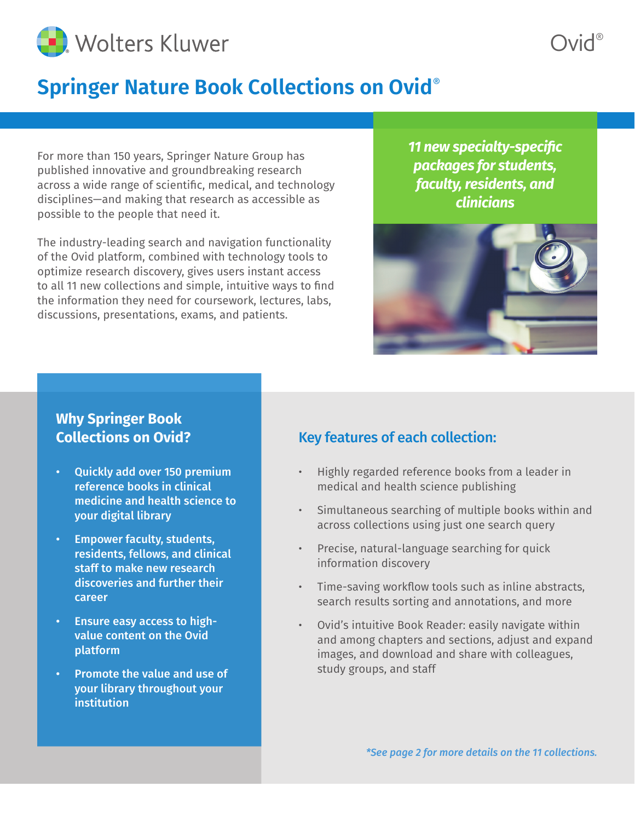

## **Springer Nature Book Collections on Ovid**®

For more than 150 years, Springer Nature Group has published innovative and groundbreaking research across a wide range of scientific, medical, and technology disciplines—and making that research as accessible as possible to the people that need it.

The industry-leading search and navigation functionality of the Ovid platform, combined with technology tools to optimize research discovery, gives users instant access to all 11 new collections and simple, intuitive ways to find the information they need for coursework, lectures, labs, discussions, presentations, exams, and patients.

*11 new specialty-specific packages for students, faculty, residents, and clinicians*

Ovid®



### **Why Springer Book Collections on Ovid?**

- Quickly add over 150 premium reference books in clinical medicine and health science to your digital library
- Empower faculty, students, residents, fellows, and clinical staff to make new research discoveries and further their career
- Ensure easy access to highvalue content on the Ovid platform
- Promote the value and use of your library throughout your institution

### Key features of each collection:

- Highly regarded reference books from a leader in medical and health science publishing
- Simultaneous searching of multiple books within and across collections using just one search query
- Precise, natural-language searching for quick information discovery
- Time-saving workflow tools such as inline abstracts, search results sorting and annotations, and more
- Ovid's intuitive Book Reader: easily navigate within and among chapters and sections, adjust and expand images, and download and share with colleagues, study groups, and staff